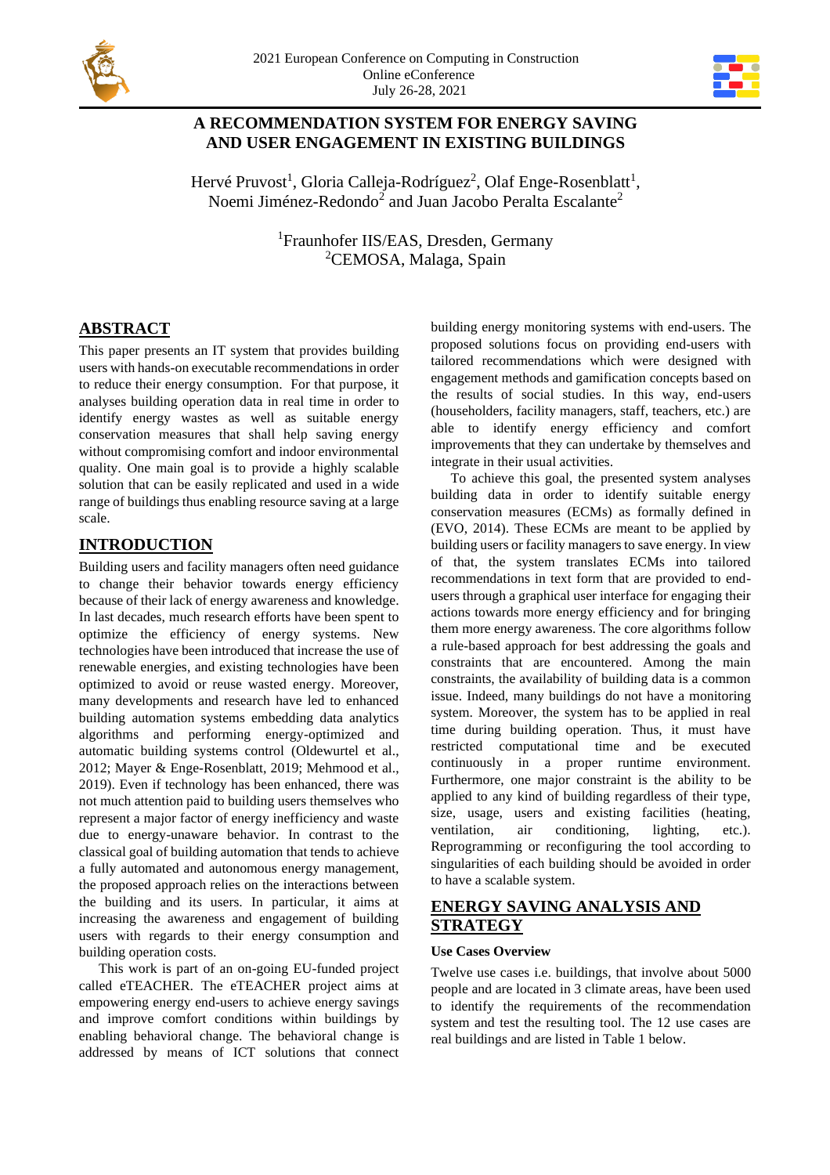



# **A RECOMMENDATION SYSTEM FOR ENERGY SAVING AND USER ENGAGEMENT IN EXISTING BUILDINGS**

Hervé Pruvost<sup>1</sup>, Gloria Calleja-Rodríguez<sup>2</sup>, Olaf Enge-Rosenblatt<sup>1</sup>, Noemi Jiménez-Redondo $^2$  and Juan Jacobo Peralta Escalante $^2$ 

> <sup>1</sup>Fraunhofer IIS/EAS, Dresden, Germany <sup>2</sup>CEMOSA, Malaga, Spain

# **ABSTRACT**

This paper presents an IT system that provides building users with hands-on executable recommendations in order to reduce their energy consumption. For that purpose, it analyses building operation data in real time in order to identify energy wastes as well as suitable energy conservation measures that shall help saving energy without compromising comfort and indoor environmental quality. One main goal is to provide a highly scalable solution that can be easily replicated and used in a wide range of buildings thus enabling resource saving at a large scale.

# **INTRODUCTION**

Building users and facility managers often need guidance to change their behavior towards energy efficiency because of their lack of energy awareness and knowledge. In last decades, much research efforts have been spent to optimize the efficiency of energy systems. New technologies have been introduced that increase the use of renewable energies, and existing technologies have been optimized to avoid or reuse wasted energy. Moreover, many developments and research have led to enhanced building automation systems embedding data analytics algorithms and performing energy-optimized and automatic building systems control (Oldewurtel et al., 2012; Mayer & Enge-Rosenblatt, 2019; Mehmood et al., 2019). Even if technology has been enhanced, there was not much attention paid to building users themselves who represent a major factor of energy inefficiency and waste due to energy-unaware behavior. In contrast to the classical goal of building automation that tends to achieve a fully automated and autonomous energy management, the proposed approach relies on the interactions between the building and its users. In particular, it aims at increasing the awareness and engagement of building users with regards to their energy consumption and building operation costs.

This work is part of an on-going EU-funded project called eTEACHER. The eTEACHER project aims at empowering energy end-users to achieve energy savings and improve comfort conditions within buildings by enabling behavioral change. The behavioral change is addressed by means of ICT solutions that connect

building energy monitoring systems with end-users. The proposed solutions focus on providing end-users with tailored recommendations which were designed with engagement methods and gamification concepts based on the results of social studies. In this way, end-users (householders, facility managers, staff, teachers, etc.) are able to identify energy efficiency and comfort improvements that they can undertake by themselves and integrate in their usual activities.

To achieve this goal, the presented system analyses building data in order to identify suitable energy conservation measures (ECMs) as formally defined in (EVO, 2014). These ECMs are meant to be applied by building users or facility managers to save energy. In view of that, the system translates ECMs into tailored recommendations in text form that are provided to endusers through a graphical user interface for engaging their actions towards more energy efficiency and for bringing them more energy awareness. The core algorithms follow a rule-based approach for best addressing the goals and constraints that are encountered. Among the main constraints, the availability of building data is a common issue. Indeed, many buildings do not have a monitoring system. Moreover, the system has to be applied in real time during building operation. Thus, it must have restricted computational time and be executed continuously in a proper runtime environment. Furthermore, one major constraint is the ability to be applied to any kind of building regardless of their type, size, usage, users and existing facilities (heating, ventilation, air conditioning, lighting, etc.). Reprogramming or reconfiguring the tool according to singularities of each building should be avoided in order to have a scalable system.

# **ENERGY SAVING ANALYSIS AND STRATEGY**

### **Use Cases Overview**

Twelve use cases i.e. buildings, that involve about 5000 people and are located in 3 climate areas, have been used to identify the requirements of the recommendation system and test the resulting tool. The 12 use cases are real buildings and are listed in Table 1 below.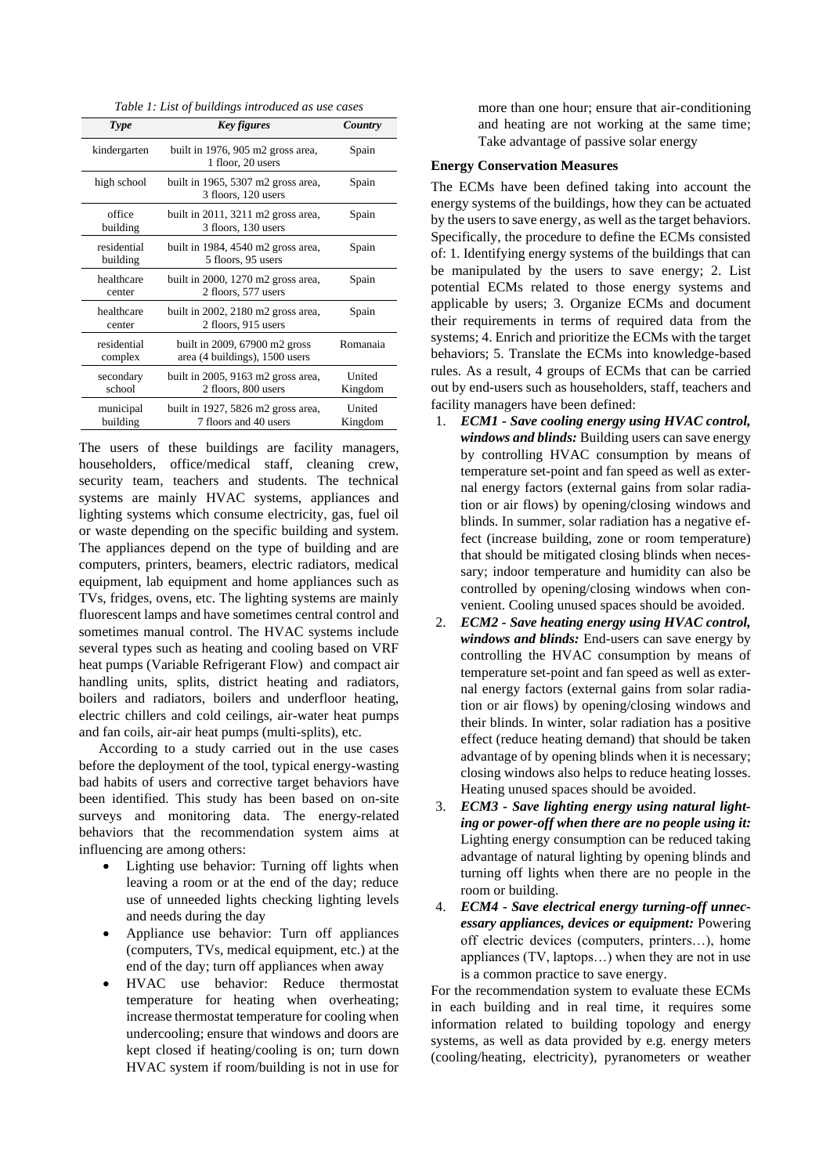*Table 1: List of buildings introduced as use cases*

| Type                    | <b>Key figures</b>                                                | Country                  |
|-------------------------|-------------------------------------------------------------------|--------------------------|
| kindergarten            | built in 1976, 905 m2 gross area,<br>1 floor, 20 users            | Spain                    |
| high school             | built in 1965, 5307 m2 gross area,<br>3 floors, 120 users         | Spain                    |
| office<br>building      | built in $2011$ , $3211$ m2 gross area,<br>3 floors, 130 users    | Spain                    |
| residential<br>building | built in 1984, 4540 m2 gross area,<br>5 floors, 95 users          | Spain                    |
| healthcare<br>center    | built in $2000$ , $1270$ m2 gross area,<br>2 floors, 577 users    | Spain                    |
| healthcare<br>center    | built in $2002$ , $2180$ m $2$ gross area,<br>2 floors, 915 users | Spain                    |
| residential<br>complex  | built in 2009, 67900 m2 gross<br>area (4 buildings), 1500 users   | Romanaia                 |
| secondary<br>school     | built in 2005, 9163 m2 gross area,<br>2 floors, 800 users         | <b>United</b><br>Kingdom |
| municipal<br>building   | built in 1927, 5826 m2 gross area,<br>7 floors and 40 users       | United<br>Kingdom        |

The users of these buildings are facility managers, householders, office/medical staff, cleaning crew, security team, teachers and students. The technical systems are mainly HVAC systems, appliances and lighting systems which consume electricity, gas, fuel oil or waste depending on the specific building and system. The appliances depend on the type of building and are computers, printers, beamers, electric radiators, medical equipment, lab equipment and home appliances such as TVs, fridges, ovens, etc. The lighting systems are mainly fluorescent lamps and have sometimes central control and sometimes manual control. The HVAC systems include several types such as heating and cooling based on VRF heat pumps (Variable Refrigerant Flow) and compact air handling units, splits, district heating and radiators, boilers and radiators, boilers and underfloor heating, electric chillers and cold ceilings, air-water heat pumps and fan coils, air-air heat pumps (multi-splits), etc.

According to a study carried out in the use cases before the deployment of the tool, typical energy-wasting bad habits of users and corrective target behaviors have been identified. This study has been based on on-site surveys and monitoring data. The energy-related behaviors that the recommendation system aims at influencing are among others:

- Lighting use behavior: Turning off lights when leaving a room or at the end of the day; reduce use of unneeded lights checking lighting levels and needs during the day
- Appliance use behavior: Turn off appliances (computers, TVs, medical equipment, etc.) at the end of the day; turn off appliances when away
- HVAC use behavior: Reduce thermostat temperature for heating when overheating; increase thermostat temperature for cooling when undercooling; ensure that windows and doors are kept closed if heating/cooling is on; turn down HVAC system if room/building is not in use for

more than one hour; ensure that air-conditioning and heating are not working at the same time; Take advantage of passive solar energy

#### **Energy Conservation Measures**

The ECMs have been defined taking into account the energy systems of the buildings, how they can be actuated by the users to save energy, as well as the target behaviors. Specifically, the procedure to define the ECMs consisted of: 1. Identifying energy systems of the buildings that can be manipulated by the users to save energy; 2. List potential ECMs related to those energy systems and applicable by users; 3. Organize ECMs and document their requirements in terms of required data from the systems; 4. Enrich and prioritize the ECMs with the target behaviors; 5. Translate the ECMs into knowledge-based rules. As a result, 4 groups of ECMs that can be carried out by end-users such as householders, staff, teachers and facility managers have been defined:

- 1. *ECM1 - Save cooling energy using HVAC control, windows and blinds:* Building users can save energy by controlling HVAC consumption by means of temperature set-point and fan speed as well as external energy factors (external gains from solar radiation or air flows) by opening/closing windows and blinds. In summer, solar radiation has a negative effect (increase building, zone or room temperature) that should be mitigated closing blinds when necessary; indoor temperature and humidity can also be controlled by opening/closing windows when convenient. Cooling unused spaces should be avoided.
- 2. *ECM2 - Save heating energy using HVAC control, windows and blinds:* End-users can save energy by controlling the HVAC consumption by means of temperature set-point and fan speed as well as external energy factors (external gains from solar radiation or air flows) by opening/closing windows and their blinds. In winter, solar radiation has a positive effect (reduce heating demand) that should be taken advantage of by opening blinds when it is necessary; closing windows also helps to reduce heating losses. Heating unused spaces should be avoided.
- 3. *ECM3 - Save lighting energy using natural lighting or power-off when there are no people using it:* Lighting energy consumption can be reduced taking advantage of natural lighting by opening blinds and turning off lights when there are no people in the room or building.
- 4. *ECM4 - Save electrical energy turning-off unnecessary appliances, devices or equipment:* Powering off electric devices (computers, printers…), home appliances (TV, laptops…) when they are not in use is a common practice to save energy.

For the recommendation system to evaluate these ECMs in each building and in real time, it requires some information related to building topology and energy systems, as well as data provided by e.g. energy meters (cooling/heating, electricity), pyranometers or weather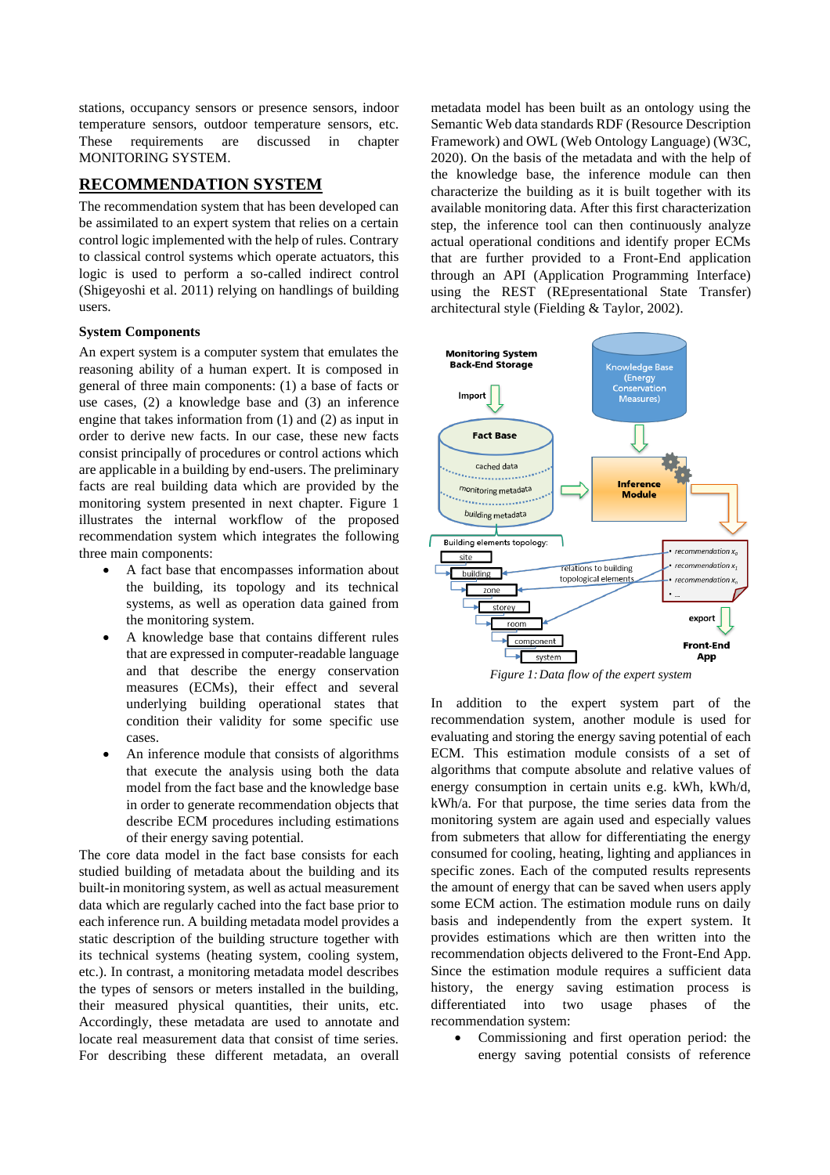stations, occupancy sensors or presence sensors, indoor temperature sensors, outdoor temperature sensors, etc. These requirements are discussed in chapter MONITORING SYSTEM.

### **RECOMMENDATION SYSTEM**

The recommendation system that has been developed can be assimilated to an expert system that relies on a certain control logic implemented with the help of rules. Contrary to classical control systems which operate actuators, this logic is used to perform a so-called indirect control (Shigeyoshi et al. 2011) relying on handlings of building users.

#### **System Components**

An expert system is a computer system that emulates the reasoning ability of a human expert. It is composed in general of three main components: (1) a base of facts or use cases, (2) a knowledge base and (3) an inference engine that takes information from (1) and (2) as input in order to derive new facts. In our case, these new facts consist principally of procedures or control actions which are applicable in a building by end-users. The preliminary facts are real building data which are provided by the monitoring system presented in next chapter. Figure 1 illustrates the internal workflow of the proposed recommendation system which integrates the following three main components:

- A fact base that encompasses information about the building, its topology and its technical systems, as well as operation data gained from the monitoring system.
- A knowledge base that contains different rules that are expressed in computer-readable language and that describe the energy conservation measures (ECMs), their effect and several underlying building operational states that condition their validity for some specific use cases.
- An inference module that consists of algorithms that execute the analysis using both the data model from the fact base and the knowledge base in order to generate recommendation objects that describe ECM procedures including estimations of their energy saving potential.

The core data model in the fact base consists for each studied building of metadata about the building and its built-in monitoring system, as well as actual measurement data which are regularly cached into the fact base prior to each inference run. A building metadata model provides a static description of the building structure together with its technical systems (heating system, cooling system, etc.). In contrast, a monitoring metadata model describes the types of sensors or meters installed in the building, their measured physical quantities, their units, etc. Accordingly, these metadata are used to annotate and locate real measurement data that consist of time series. For describing these different metadata, an overall metadata model has been built as an ontology using the Semantic Web data standards RDF (Resource Description Framework) and OWL (Web Ontology Language) (W3C, 2020). On the basis of the metadata and with the help of the knowledge base, the inference module can then characterize the building as it is built together with its available monitoring data. After this first characterization step, the inference tool can then continuously analyze actual operational conditions and identify proper ECMs that are further provided to a Front-End application through an API (Application Programming Interface) using the REST (REpresentational State Transfer) architectural style (Fielding & Taylor, 2002).



In addition to the expert system part of the recommendation system, another module is used for evaluating and storing the energy saving potential of each ECM. This estimation module consists of a set of algorithms that compute absolute and relative values of energy consumption in certain units e.g. kWh, kWh/d, kWh/a. For that purpose, the time series data from the monitoring system are again used and especially values from submeters that allow for differentiating the energy consumed for cooling, heating, lighting and appliances in specific zones. Each of the computed results represents the amount of energy that can be saved when users apply some ECM action. The estimation module runs on daily basis and independently from the expert system. It provides estimations which are then written into the recommendation objects delivered to the Front-End App. Since the estimation module requires a sufficient data history, the energy saving estimation process is differentiated into two usage phases of the recommendation system:

• Commissioning and first operation period: the energy saving potential consists of reference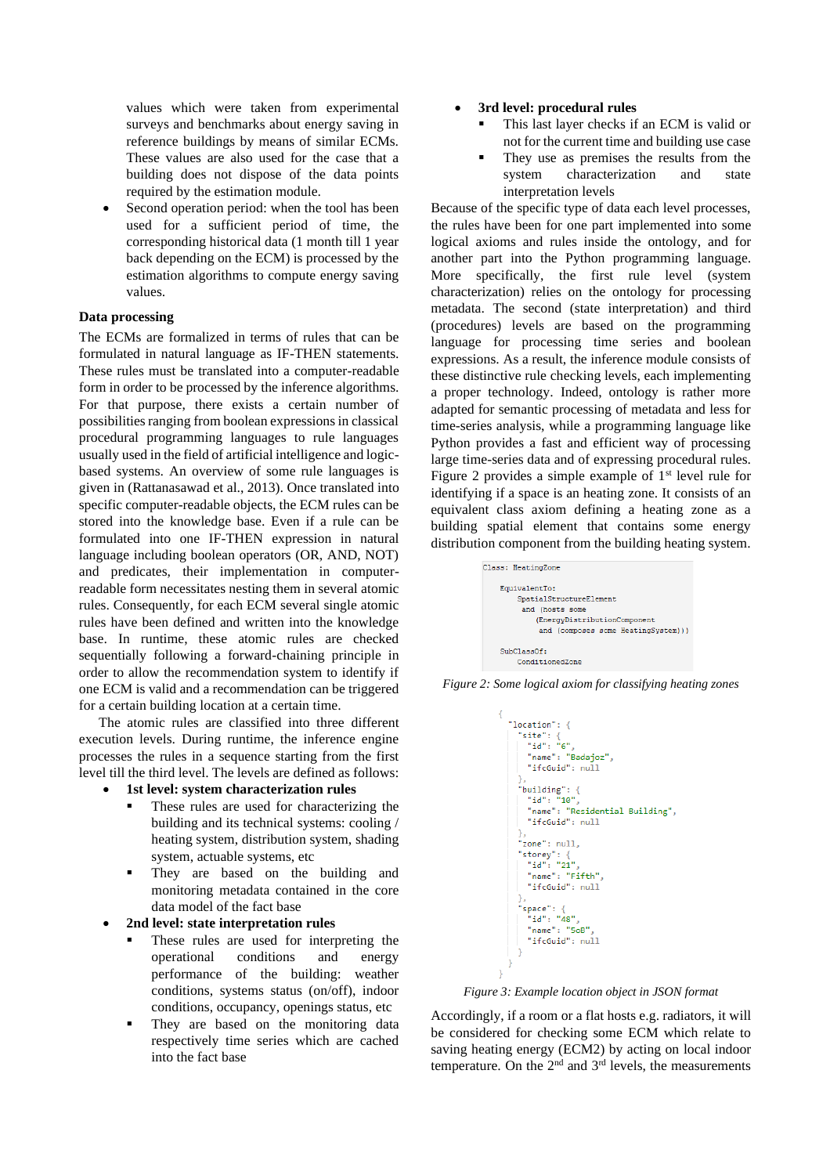values which were taken from experimental surveys and benchmarks about energy saving in reference buildings by means of similar ECMs. These values are also used for the case that a building does not dispose of the data points required by the estimation module.

Second operation period: when the tool has been used for a sufficient period of time, the corresponding historical data (1 month till 1 year back depending on the ECM) is processed by the estimation algorithms to compute energy saving values.

### **Data processing**

The ECMs are formalized in terms of rules that can be formulated in natural language as IF-THEN statements. These rules must be translated into a computer-readable form in order to be processed by the inference algorithms. For that purpose, there exists a certain number of possibilities ranging from boolean expressions in classical procedural programming languages to rule languages usually used in the field of artificial intelligence and logicbased systems. An overview of some rule languages is given in (Rattanasawad et al., 2013). Once translated into specific computer-readable objects, the ECM rules can be stored into the knowledge base. Even if a rule can be formulated into one IF-THEN expression in natural language including boolean operators (OR, AND, NOT) and predicates, their implementation in computerreadable form necessitates nesting them in several atomic rules. Consequently, for each ECM several single atomic rules have been defined and written into the knowledge base. In runtime, these atomic rules are checked sequentially following a forward-chaining principle in order to allow the recommendation system to identify if one ECM is valid and a recommendation can be triggered for a certain building location at a certain time.

The atomic rules are classified into three different execution levels. During runtime, the inference engine processes the rules in a sequence starting from the first level till the third level. The levels are defined as follows:

- **1st level: system characterization rules**
	- These rules are used for characterizing the building and its technical systems: cooling / heating system, distribution system, shading system, actuable systems, etc
	- They are based on the building and monitoring metadata contained in the core data model of the fact base
- **2nd level: state interpretation rules**
	- These rules are used for interpreting the operational conditions and energy performance of the building: weather conditions, systems status (on/off), indoor conditions, occupancy, openings status, etc
	- They are based on the monitoring data respectively time series which are cached into the fact base
- **3rd level: procedural rules**
	- This last layer checks if an ECM is valid or not for the current time and building use case
	- They use as premises the results from the<br>system characterization and state characterization and state interpretation levels

Because of the specific type of data each level processes, the rules have been for one part implemented into some logical axioms and rules inside the ontology, and for another part into the Python programming language. More specifically, the first rule level (system characterization) relies on the ontology for processing metadata. The second (state interpretation) and third (procedures) levels are based on the programming language for processing time series and boolean expressions. As a result, the inference module consists of these distinctive rule checking levels, each implementing a proper technology. Indeed, ontology is rather more adapted for semantic processing of metadata and less for time-series analysis, while a programming language like Python provides a fast and efficient way of processing large time-series data and of expressing procedural rules. Figure 2 provides a simple example of 1<sup>st</sup> level rule for identifying if a space is an heating zone. It consists of an equivalent class axiom defining a heating zone as a building spatial element that contains some energy distribution component from the building heating system.



*Figure 2: Some logical axiom for classifying heating zones*



*Figure 3: Example location object in JSON format*

Accordingly, if a room or a flat hosts e.g. radiators, it will be considered for checking some ECM which relate to saving heating energy (ECM2) by acting on local indoor temperature. On the  $2<sup>nd</sup>$  and  $3<sup>rd</sup>$  levels, the measurements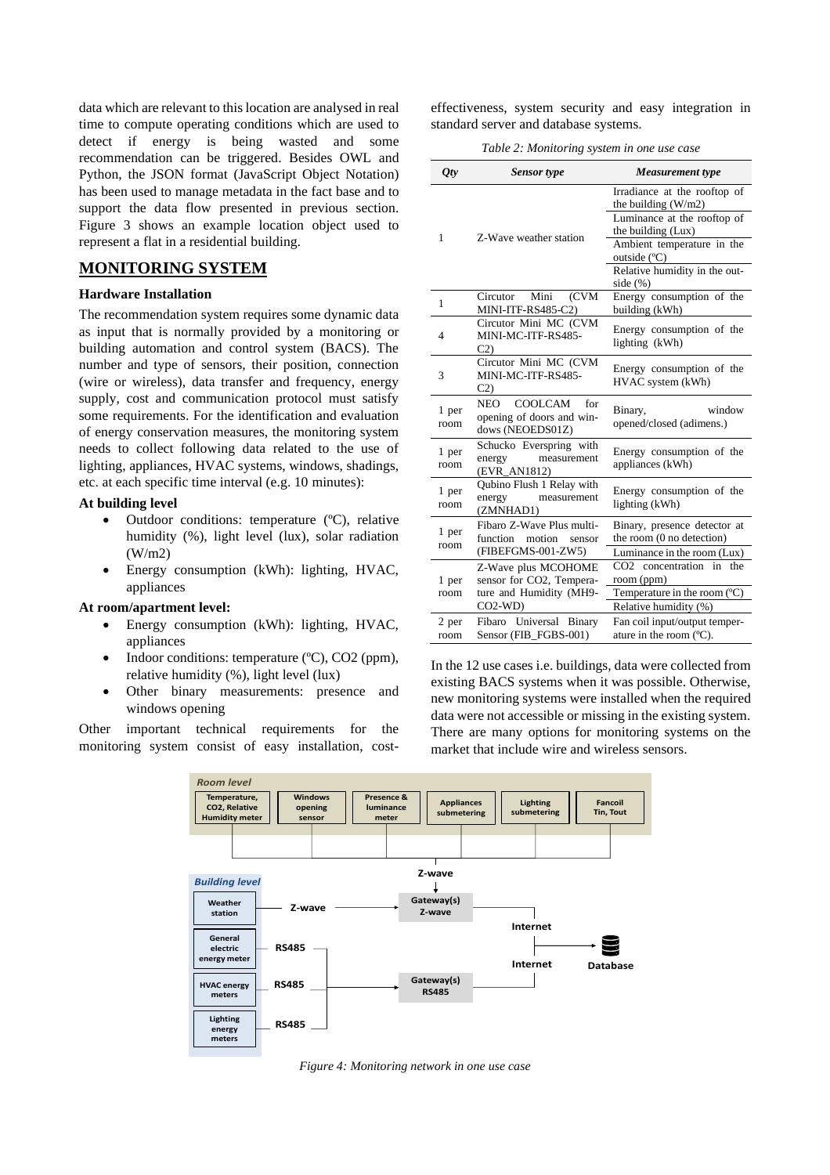data which are relevant to this location are analysed in real time to compute operating conditions which are used to detect if energy is being wasted and some recommendation can be triggered. Besides OWL and Python, the JSON format (JavaScript Object Notation) has been used to manage metadata in the fact base and to support the data flow presented in previous section. Figure 3 shows an example location object used to represent a flat in a residential building.

### **MONITORING SYSTEM**

#### **Hardware Installation**

The recommendation system requires some dynamic data as input that is normally provided by a monitoring or building automation and control system (BACS). The number and type of sensors, their position, connection (wire or wireless), data transfer and frequency, energy supply, cost and communication protocol must satisfy some requirements. For the identification and evaluation of energy conservation measures, the monitoring system needs to collect following data related to the use of lighting, appliances, HVAC systems, windows, shadings, etc. at each specific time interval (e.g. 10 minutes):

#### **At building level**

- Outdoor conditions: temperature (ºC), relative humidity (%), light level (lux), solar radiation (W/m2)
- Energy consumption (kWh): lighting, HVAC, appliances

#### **At room/apartment level:**

- Energy consumption (kWh): lighting, HVAC, appliances
- Indoor conditions: temperature (°C), CO2 (ppm), relative humidity (%), light level (lux)
- Other binary measurements: presence and windows opening

Other important technical requirements for the monitoring system consist of easy installation, costeffectiveness, system security and easy integration in standard server and database systems.

*Table 2: Monitoring system in one use case*

| $Q$ ty        | <b>Sensor</b> type                                                       | Measurement type                                          |  |
|---------------|--------------------------------------------------------------------------|-----------------------------------------------------------|--|
| 1             |                                                                          | Irradiance at the rooftop of<br>the building $(W/m2)$     |  |
|               | Z-Wave weather station                                                   | Luminance at the rooftop of<br>the building (Lux)         |  |
|               |                                                                          | Ambient temperature in the<br>outside (°C)                |  |
|               |                                                                          | Relative humidity in the out-<br>side $(\%)$              |  |
| 1             | (CVM<br>Mini<br>Circutor<br>MINI-ITF-RS485-C2)                           | Energy consumption of the<br>building (kWh)               |  |
| 4             | Circutor Mini MC (CVM<br>MINI-MC-ITF-RS485-<br>C <sub>2</sub>            | Energy consumption of the<br>lighting (kWh)               |  |
| 3             | Circutor Mini MC (CVM<br>MINI-MC-ITF-RS485-<br>C <sub>2</sub>            | Energy consumption of the<br>HVAC system (kWh)            |  |
| 1 per<br>room | COOLCAM<br>NEO –<br>for<br>opening of doors and win-<br>dows (NEOEDS01Z) | window<br>Binary,<br>opened/closed (adimens.)             |  |
| 1 per<br>room | Schucko Everspring with<br>energy<br>measurement<br>(EVR_AN1812)         | Energy consumption of the<br>appliances (kWh)             |  |
| 1 per<br>room | Qubino Flush 1 Relay with<br>energy<br>measurement<br>(ZMNHAD1)          | Energy consumption of the<br>lighting (kWh)               |  |
| 1 per<br>room | Fibaro Z-Wave Plus multi-<br>function motion<br>sensor                   | Binary, presence detector at<br>the room (0 no detection) |  |
|               | (FIBEFGMS-001-ZW5)                                                       | Luminance in the room (Lux)                               |  |
| 1 per         | Z-Wave plus MCOHOME<br>sensor for CO2, Tempera-                          | concentration<br>CO2.<br>in<br>the<br>room (ppm)          |  |
| room          | ture and Humidity (MH9-<br>$CO2-WD)$                                     | Temperature in the room $(C)$<br>Relative humidity (%)    |  |
| 2 per         | Fibaro Universal Binary                                                  | Fan coil input/output temper-                             |  |
| room          | Sensor (FIB FGBS-001)                                                    | ature in the room $(C)$ .                                 |  |

In the 12 use cases i.e. buildings, data were collected from existing BACS systems when it was possible. Otherwise, new monitoring systems were installed when the required data were not accessible or missing in the existing system. There are many options for monitoring systems on the market that include wire and wireless sensors.



*Figure 4: Monitoring network in one use case*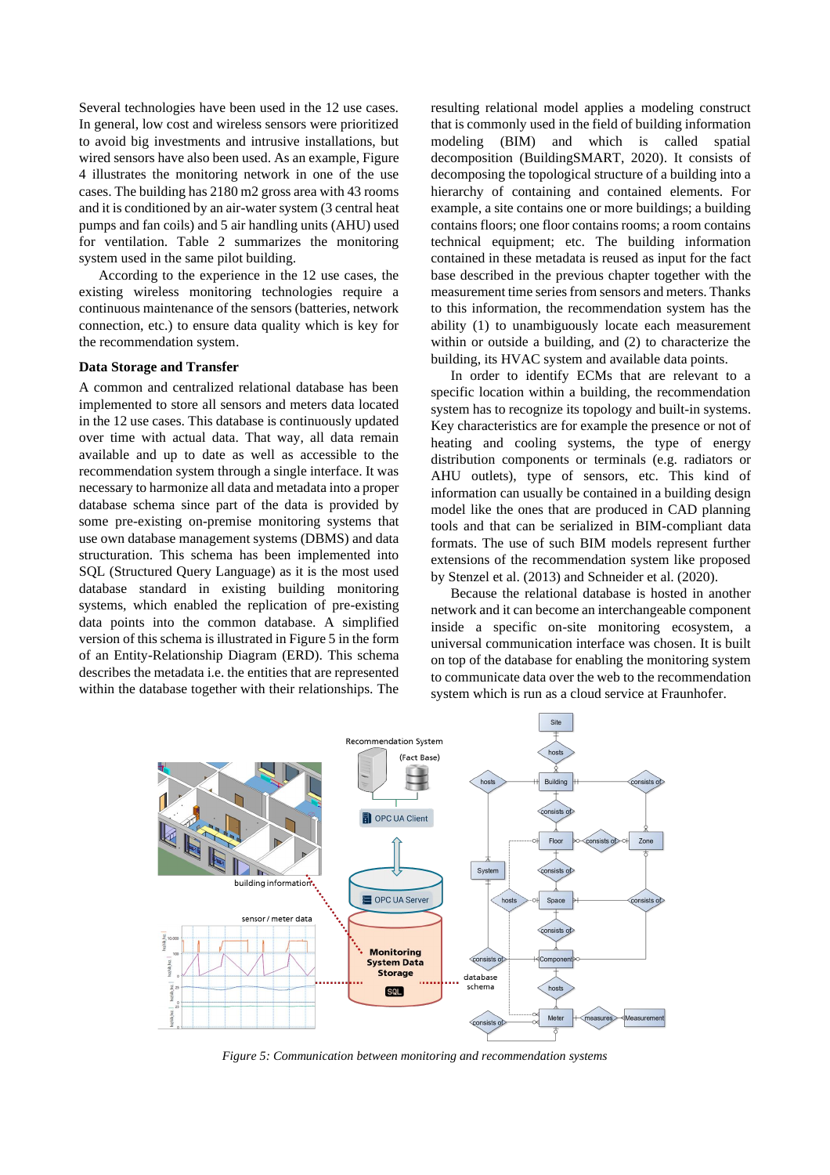Several technologies have been used in the 12 use cases. In general, low cost and wireless sensors were prioritized to avoid big investments and intrusive installations, but wired sensors have also been used. As an example, Figure 4 illustrates the monitoring network in one of the use cases. The building has 2180 m2 gross area with 43 rooms and it is conditioned by an air-water system (3 central heat pumps and fan coils) and 5 air handling units (AHU) used for ventilation. Table 2 summarizes the monitoring system used in the same pilot building.

According to the experience in the 12 use cases, the existing wireless monitoring technologies require a continuous maintenance of the sensors (batteries, network connection, etc.) to ensure data quality which is key for the recommendation system.

#### **Data Storage and Transfer**

A common and centralized relational database has been implemented to store all sensors and meters data located in the 12 use cases. This database is continuously updated over time with actual data. That way, all data remain available and up to date as well as accessible to the recommendation system through a single interface. It was necessary to harmonize all data and metadata into a proper database schema since part of the data is provided by some pre-existing on-premise monitoring systems that use own database management systems (DBMS) and data structuration. This schema has been implemented into SQL (Structured Query Language) as it is the most used database standard in existing building monitoring systems, which enabled the replication of pre-existing data points into the common database. A simplified version of this schema is illustrated in Figure 5 in the form of an Entity-Relationship Diagram (ERD). This schema describes the metadata i.e. the entities that are represented within the database together with their relationships. The resulting relational model applies a modeling construct that is commonly used in the field of building information modeling (BIM) and which is called spatial decomposition (BuildingSMART, 2020). It consists of decomposing the topological structure of a building into a hierarchy of containing and contained elements. For example, a site contains one or more buildings; a building contains floors; one floor contains rooms; a room contains technical equipment; etc. The building information contained in these metadata is reused as input for the fact base described in the previous chapter together with the measurement time series from sensors and meters. Thanks to this information, the recommendation system has the ability (1) to unambiguously locate each measurement within or outside a building, and (2) to characterize the building, its HVAC system and available data points.

In order to identify ECMs that are relevant to a specific location within a building, the recommendation system has to recognize its topology and built-in systems. Key characteristics are for example the presence or not of heating and cooling systems, the type of energy distribution components or terminals (e.g. radiators or AHU outlets), type of sensors, etc. This kind of information can usually be contained in a building design model like the ones that are produced in CAD planning tools and that can be serialized in BIM-compliant data formats. The use of such BIM models represent further extensions of the recommendation system like proposed by Stenzel et al. (2013) and Schneider et al. (2020).

Because the relational database is hosted in another network and it can become an interchangeable component inside a specific on-site monitoring ecosystem, a universal communication interface was chosen. It is built on top of the database for enabling the monitoring system to communicate data over the web to the recommendation system which is run as a cloud service at Fraunhofer.



*Figure 5: Communication between monitoring and recommendation systems*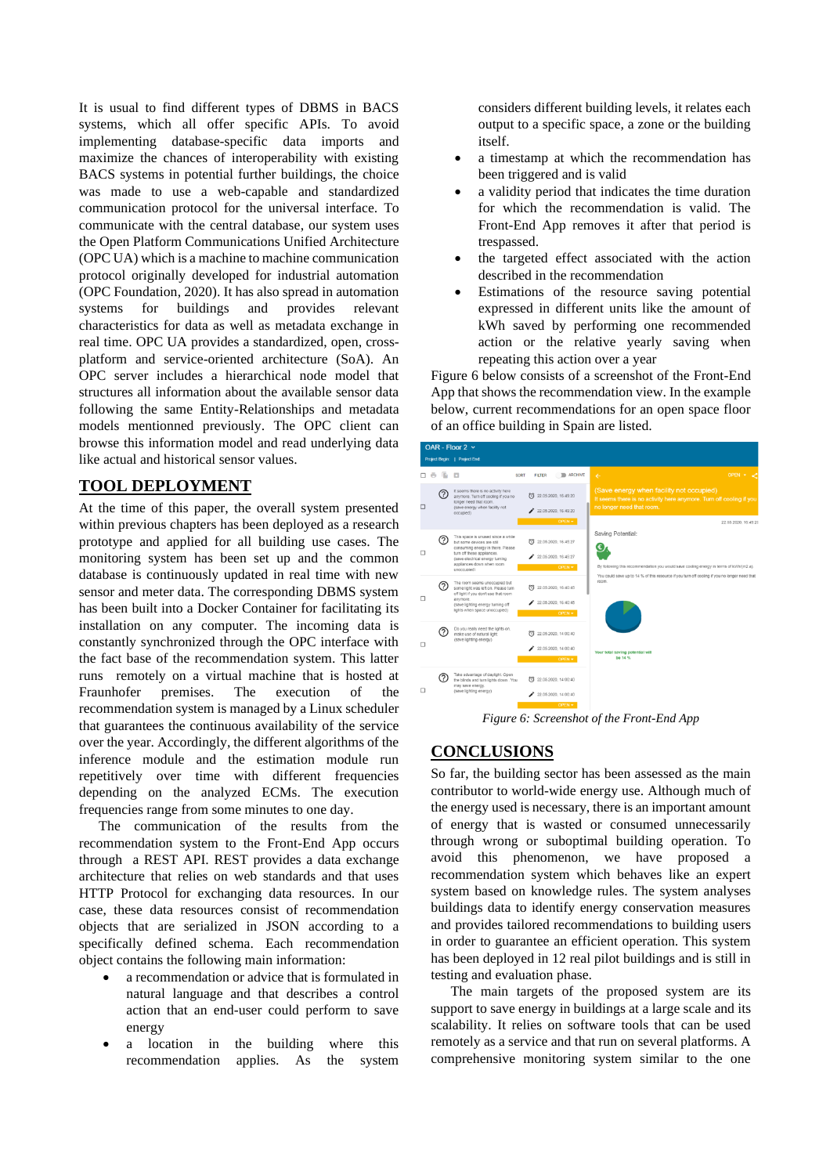It is usual to find different types of DBMS in BACS systems, which all offer specific APIs. To avoid implementing database-specific data imports and maximize the chances of interoperability with existing BACS systems in potential further buildings, the choice was made to use a web-capable and standardized communication protocol for the universal interface. To communicate with the central database, our system uses the Open Platform Communications Unified Architecture (OPC UA) which is a machine to machine communication protocol originally developed for industrial automation (OPC Foundation, 2020). It has also spread in automation systems for buildings and provides relevant characteristics for data as well as metadata exchange in real time. OPC UA provides a standardized, open, crossplatform and service-oriented architecture (SoA). An OPC server includes a hierarchical node model that structures all information about the available sensor data following the same Entity-Relationships and metadata models mentionned previously. The OPC client can browse this information model and read underlying data like actual and historical sensor values.

## **TOOL DEPLOYMENT**

At the time of this paper, the overall system presented within previous chapters has been deployed as a research prototype and applied for all building use cases. The monitoring system has been set up and the common database is continuously updated in real time with new sensor and meter data. The corresponding DBMS system has been built into a Docker Container for facilitating its installation on any computer. The incoming data is constantly synchronized through the OPC interface with the fact base of the recommendation system. This latter runs remotely on a virtual machine that is hosted at Fraunhofer premises. The execution of the recommendation system is managed by a Linux scheduler that guarantees the continuous availability of the service over the year. Accordingly, the different algorithms of the inference module and the estimation module run repetitively over time with different frequencies depending on the analyzed ECMs. The execution frequencies range from some minutes to one day.

The communication of the results from the recommendation system to the Front-End App occurs through a REST API. REST provides a data exchange architecture that relies on web standards and that uses HTTP Protocol for exchanging data resources. In our case, these data resources consist of recommendation objects that are serialized in JSON according to a specifically defined schema. Each recommendation object contains the following main information:

- a recommendation or advice that is formulated in natural language and that describes a control action that an end-user could perform to save energy
- a location in the building where this recommendation applies. As the system

considers different building levels, it relates each output to a specific space, a zone or the building itself.

- a timestamp at which the recommendation has been triggered and is valid
- a validity period that indicates the time duration for which the recommendation is valid. The Front-End App removes it after that period is trespassed.
- the targeted effect associated with the action described in the recommendation
- Estimations of the resource saving potential expressed in different units like the amount of kWh saved by performing one recommended action or the relative yearly saving when repeating this action over a year

Figure 6 below consists of a screenshot of the Front-End App that shows the recommendation view. In the example below, current recommendations for an open space floor of an office building in Spain are listed.



*Figure 6: Screenshot of the Front-End App*

### **CONCLUSIONS**

So far, the building sector has been assessed as the main contributor to world-wide energy use. Although much of the energy used is necessary, there is an important amount of energy that is wasted or consumed unnecessarily through wrong or suboptimal building operation. To avoid this phenomenon, we have proposed a recommendation system which behaves like an expert system based on knowledge rules. The system analyses buildings data to identify energy conservation measures and provides tailored recommendations to building users in order to guarantee an efficient operation. This system has been deployed in 12 real pilot buildings and is still in testing and evaluation phase.

The main targets of the proposed system are its support to save energy in buildings at a large scale and its scalability. It relies on software tools that can be used remotely as a service and that run on several platforms. A comprehensive monitoring system similar to the one